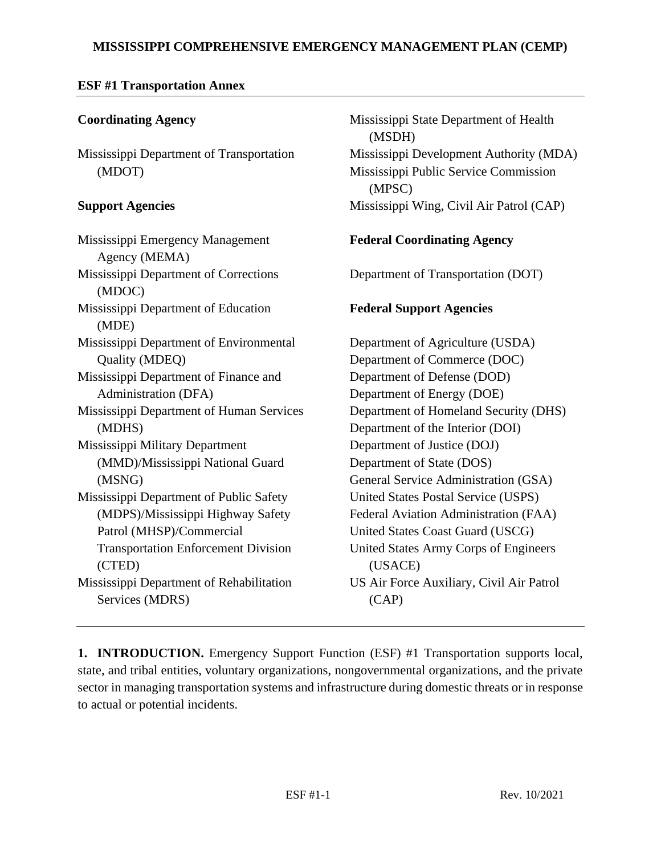## **MISSISSIPPI COMPREHENSIVE EMERGENCY MANAGEMENT PLAN (CEMP)**

Mississippi State Department of Health

Mississippi Development Authority (MDA) Mississippi Public Service Commission

Mississippi Wing, Civil Air Patrol (CAP)

(MSDH)

(MPSC)

### **ESF #1 Transportation Annex**

## **Coordinating Agency**

Mississippi Department of Transportation (MDOT)

#### **Support Agencies**

| Mississippi Emergency Management<br>Agency (MEMA) | <b>Federal Coordinating Agency</b>       |
|---------------------------------------------------|------------------------------------------|
| Mississippi Department of Corrections<br>(MDOC)   | Department of Transportation (DOT)       |
| Mississippi Department of Education<br>(MDE)      | <b>Federal Support Agencies</b>          |
| Mississippi Department of Environmental           | Department of Agriculture (USDA)         |
| Quality (MDEQ)                                    | Department of Commerce (DOC)             |
| Mississippi Department of Finance and             | Department of Defense (DOD)              |
| Administration (DFA)                              | Department of Energy (DOE)               |
| Mississippi Department of Human Services          | Department of Homeland Security (DHS)    |
| (MDHS)                                            | Department of the Interior (DOI)         |
| Mississippi Military Department                   | Department of Justice (DOJ)              |
| (MMD)/Mississippi National Guard                  | Department of State (DOS)                |
| (MSNG)                                            | General Service Administration (GSA)     |
| Mississippi Department of Public Safety           | United States Postal Service (USPS)      |
| (MDPS)/Mississippi Highway Safety                 | Federal Aviation Administration (FAA)    |
| Patrol (MHSP)/Commercial                          | United States Coast Guard (USCG)         |
| <b>Transportation Enforcement Division</b>        | United States Army Corps of Engineers    |
| (CTED)                                            | (USACE)                                  |
| Mississippi Department of Rehabilitation          | US Air Force Auxiliary, Civil Air Patrol |
| Services (MDRS)                                   | (CAP)                                    |

**1. INTRODUCTION.** Emergency Support Function (ESF) #1 Transportation supports local, state, and tribal entities, voluntary organizations, nongovernmental organizations, and the private sector in managing transportation systems and infrastructure during domestic threats or in response to actual or potential incidents.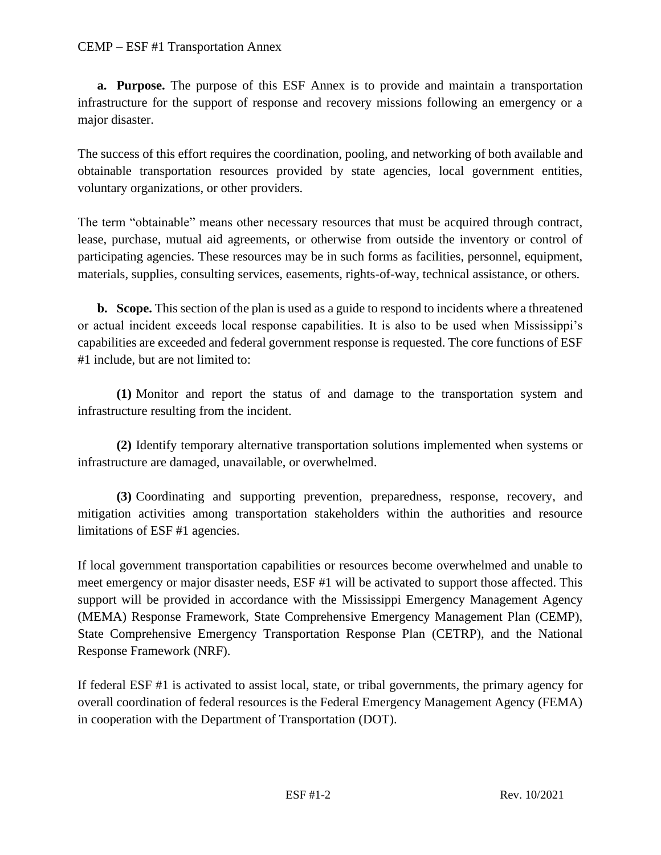**a. Purpose.** The purpose of this ESF Annex is to provide and maintain a transportation infrastructure for the support of response and recovery missions following an emergency or a major disaster.

The success of this effort requires the coordination, pooling, and networking of both available and obtainable transportation resources provided by state agencies, local government entities, voluntary organizations, or other providers.

The term "obtainable" means other necessary resources that must be acquired through contract, lease, purchase, mutual aid agreements, or otherwise from outside the inventory or control of participating agencies. These resources may be in such forms as facilities, personnel, equipment, materials, supplies, consulting services, easements, rights-of-way, technical assistance, or others.

**b. Scope.** This section of the plan is used as a guide to respond to incidents where a threatened or actual incident exceeds local response capabilities. It is also to be used when Mississippi's capabilities are exceeded and federal government response is requested. The core functions of ESF #1 include, but are not limited to:

**(1)** Monitor and report the status of and damage to the transportation system and infrastructure resulting from the incident.

**(2)** Identify temporary alternative transportation solutions implemented when systems or infrastructure are damaged, unavailable, or overwhelmed.

**(3)** Coordinating and supporting prevention, preparedness, response, recovery, and mitigation activities among transportation stakeholders within the authorities and resource limitations of ESF #1 agencies.

If local government transportation capabilities or resources become overwhelmed and unable to meet emergency or major disaster needs, ESF #1 will be activated to support those affected. This support will be provided in accordance with the Mississippi Emergency Management Agency (MEMA) Response Framework, State Comprehensive Emergency Management Plan (CEMP), State Comprehensive Emergency Transportation Response Plan (CETRP), and the National Response Framework (NRF).

If federal ESF #1 is activated to assist local, state, or tribal governments, the primary agency for overall coordination of federal resources is the Federal Emergency Management Agency (FEMA) in cooperation with the Department of Transportation (DOT).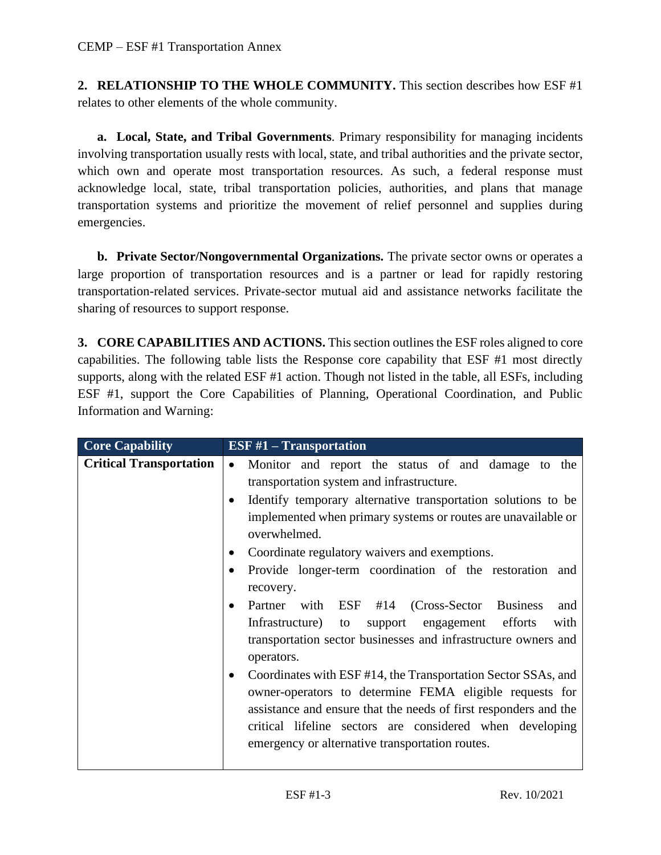**2. RELATIONSHIP TO THE WHOLE COMMUNITY.** This section describes how ESF #1 relates to other elements of the whole community.

**a. Local, State, and Tribal Governments**. Primary responsibility for managing incidents involving transportation usually rests with local, state, and tribal authorities and the private sector, which own and operate most transportation resources. As such, a federal response must acknowledge local, state, tribal transportation policies, authorities, and plans that manage transportation systems and prioritize the movement of relief personnel and supplies during emergencies.

**b. Private Sector/Nongovernmental Organizations.** The private sector owns or operates a large proportion of transportation resources and is a partner or lead for rapidly restoring transportation-related services. Private-sector mutual aid and assistance networks facilitate the sharing of resources to support response.

**3. CORE CAPABILITIES AND ACTIONS.** This section outlines the ESF roles aligned to core capabilities. The following table lists the Response core capability that ESF #1 most directly supports, along with the related ESF #1 action. Though not listed in the table, all ESFs, including ESF #1, support the Core Capabilities of Planning, Operational Coordination, and Public Information and Warning:

| <b>Core Capability</b>         | ESF $#1$ – Transportation                                                                                                                                                                                                                                                                                   |
|--------------------------------|-------------------------------------------------------------------------------------------------------------------------------------------------------------------------------------------------------------------------------------------------------------------------------------------------------------|
| <b>Critical Transportation</b> | Monitor and report the status of and damage to the<br>$\bullet$<br>transportation system and infrastructure.                                                                                                                                                                                                |
|                                | Identify temporary alternative transportation solutions to be<br>implemented when primary systems or routes are unavailable or<br>overwhelmed.                                                                                                                                                              |
|                                | Coordinate regulatory waivers and exemptions.                                                                                                                                                                                                                                                               |
|                                | Provide longer-term coordination of the restoration and<br>recovery.                                                                                                                                                                                                                                        |
|                                | Partner with ESF #14 (Cross-Sector Business<br>and<br>support engagement efforts<br>Infrastructure)<br>with<br>to<br>transportation sector businesses and infrastructure owners and<br>operators.                                                                                                           |
|                                | Coordinates with ESF #14, the Transportation Sector SSAs, and<br>owner-operators to determine FEMA eligible requests for<br>assistance and ensure that the needs of first responders and the<br>critical lifeline sectors are considered when developing<br>emergency or alternative transportation routes. |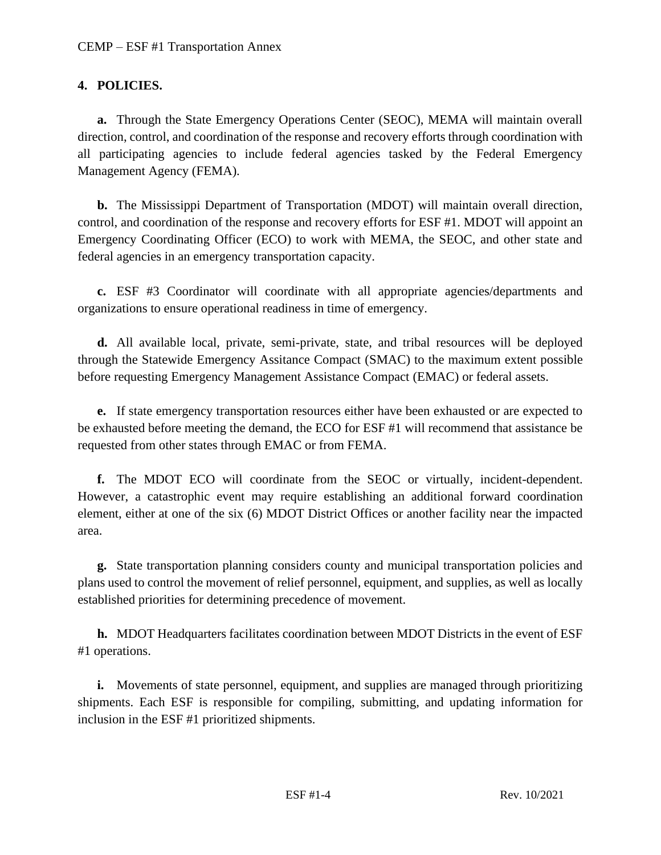## **4. POLICIES.**

**a.** Through the State Emergency Operations Center (SEOC), MEMA will maintain overall direction, control, and coordination of the response and recovery efforts through coordination with all participating agencies to include federal agencies tasked by the Federal Emergency Management Agency (FEMA).

**b.** The Mississippi Department of Transportation (MDOT) will maintain overall direction, control, and coordination of the response and recovery efforts for ESF #1. MDOT will appoint an Emergency Coordinating Officer (ECO) to work with MEMA, the SEOC, and other state and federal agencies in an emergency transportation capacity.

**c.** ESF #3 Coordinator will coordinate with all appropriate agencies/departments and organizations to ensure operational readiness in time of emergency.

**d.** All available local, private, semi-private, state, and tribal resources will be deployed through the Statewide Emergency Assitance Compact (SMAC) to the maximum extent possible before requesting Emergency Management Assistance Compact (EMAC) or federal assets.

**e.** If state emergency transportation resources either have been exhausted or are expected to be exhausted before meeting the demand, the ECO for ESF #1 will recommend that assistance be requested from other states through EMAC or from FEMA.

**f.** The MDOT ECO will coordinate from the SEOC or virtually, incident-dependent. However, a catastrophic event may require establishing an additional forward coordination element, either at one of the six (6) MDOT District Offices or another facility near the impacted area.

**g.** State transportation planning considers county and municipal transportation policies and plans used to control the movement of relief personnel, equipment, and supplies, as well as locally established priorities for determining precedence of movement.

**h.** MDOT Headquarters facilitates coordination between MDOT Districts in the event of ESF #1 operations.

**i.** Movements of state personnel, equipment, and supplies are managed through prioritizing shipments. Each ESF is responsible for compiling, submitting, and updating information for inclusion in the ESF #1 prioritized shipments.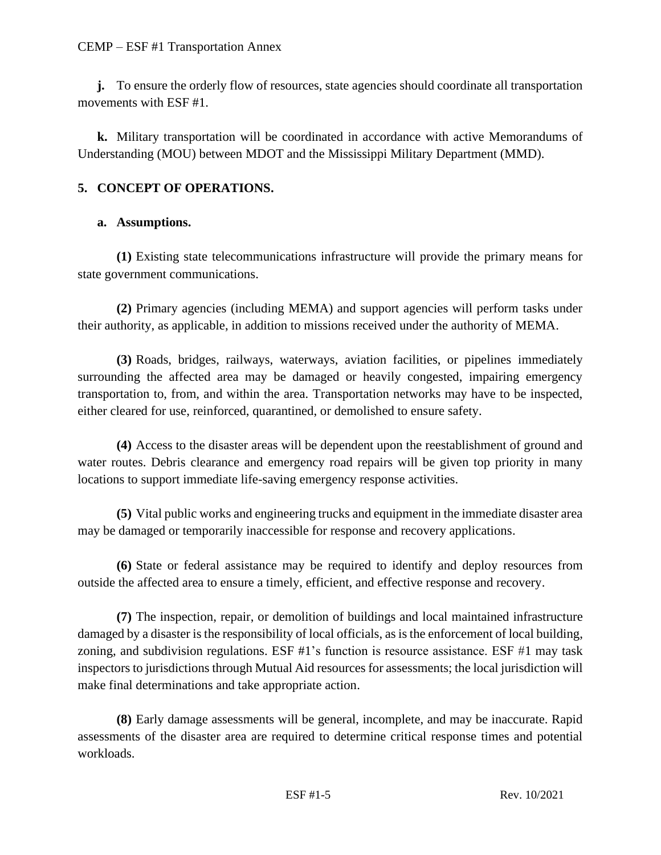#### CEMP – ESF #1 Transportation Annex

**j.** To ensure the orderly flow of resources, state agencies should coordinate all transportation movements with ESF #1.

**k.** Military transportation will be coordinated in accordance with active Memorandums of Understanding (MOU) between MDOT and the Mississippi Military Department (MMD).

## **5. CONCEPT OF OPERATIONS.**

### **a. Assumptions.**

**(1)** Existing state telecommunications infrastructure will provide the primary means for state government communications.

**(2)** Primary agencies (including MEMA) and support agencies will perform tasks under their authority, as applicable, in addition to missions received under the authority of MEMA.

**(3)** Roads, bridges, railways, waterways, aviation facilities, or pipelines immediately surrounding the affected area may be damaged or heavily congested, impairing emergency transportation to, from, and within the area. Transportation networks may have to be inspected, either cleared for use, reinforced, quarantined, or demolished to ensure safety.

**(4)** Access to the disaster areas will be dependent upon the reestablishment of ground and water routes. Debris clearance and emergency road repairs will be given top priority in many locations to support immediate life-saving emergency response activities.

**(5)** Vital public works and engineering trucks and equipment in the immediate disaster area may be damaged or temporarily inaccessible for response and recovery applications.

**(6)** State or federal assistance may be required to identify and deploy resources from outside the affected area to ensure a timely, efficient, and effective response and recovery.

**(7)** The inspection, repair, or demolition of buildings and local maintained infrastructure damaged by a disaster is the responsibility of local officials, as is the enforcement of local building, zoning, and subdivision regulations. ESF #1's function is resource assistance. ESF #1 may task inspectors to jurisdictions through Mutual Aid resources for assessments; the local jurisdiction will make final determinations and take appropriate action.

**(8)** Early damage assessments will be general, incomplete, and may be inaccurate. Rapid assessments of the disaster area are required to determine critical response times and potential workloads.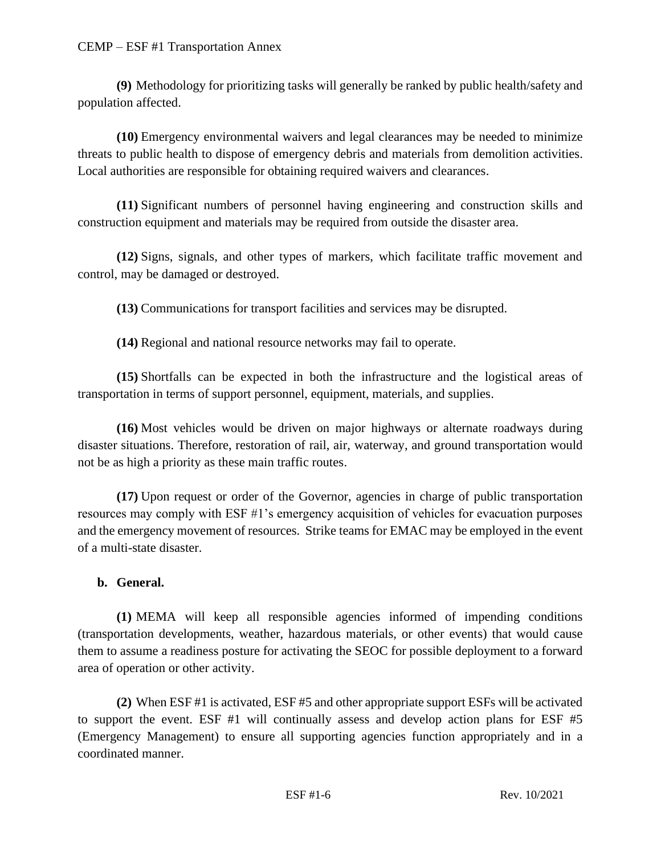**(9)** Methodology for prioritizing tasks will generally be ranked by public health/safety and population affected.

**(10)** Emergency environmental waivers and legal clearances may be needed to minimize threats to public health to dispose of emergency debris and materials from demolition activities. Local authorities are responsible for obtaining required waivers and clearances.

**(11)** Significant numbers of personnel having engineering and construction skills and construction equipment and materials may be required from outside the disaster area.

**(12)** Signs, signals, and other types of markers, which facilitate traffic movement and control, may be damaged or destroyed.

**(13)** Communications for transport facilities and services may be disrupted.

**(14)** Regional and national resource networks may fail to operate.

**(15)** Shortfalls can be expected in both the infrastructure and the logistical areas of transportation in terms of support personnel, equipment, materials, and supplies.

**(16)** Most vehicles would be driven on major highways or alternate roadways during disaster situations. Therefore, restoration of rail, air, waterway, and ground transportation would not be as high a priority as these main traffic routes.

**(17)** Upon request or order of the Governor, agencies in charge of public transportation resources may comply with ESF #1's emergency acquisition of vehicles for evacuation purposes and the emergency movement of resources. Strike teams for EMAC may be employed in the event of a multi-state disaster.

# **b. General.**

**(1)** MEMA will keep all responsible agencies informed of impending conditions (transportation developments, weather, hazardous materials, or other events) that would cause them to assume a readiness posture for activating the SEOC for possible deployment to a forward area of operation or other activity.

**(2)** When ESF #1 is activated, ESF #5 and other appropriate support ESFs will be activated to support the event. ESF #1 will continually assess and develop action plans for ESF #5 (Emergency Management) to ensure all supporting agencies function appropriately and in a coordinated manner.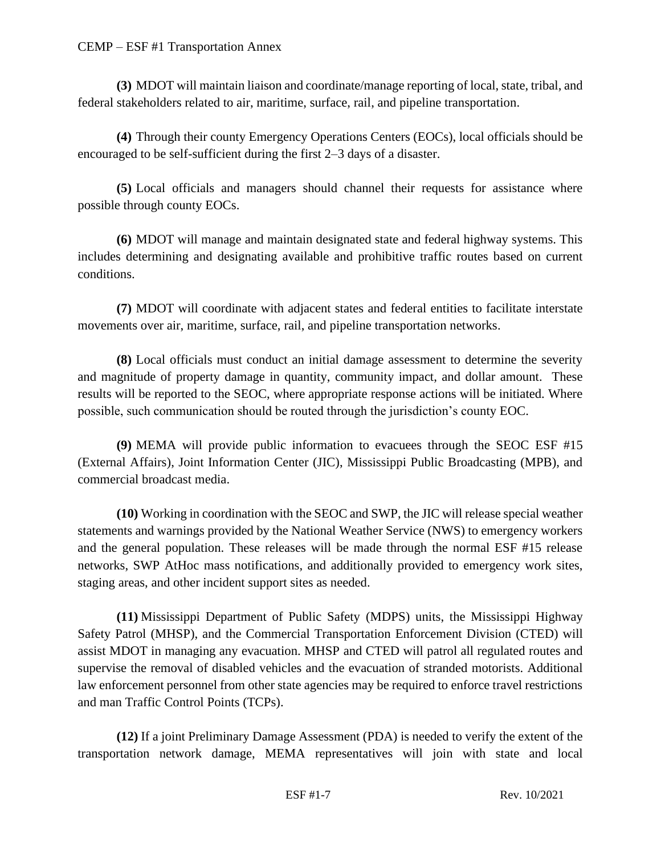#### CEMP – ESF #1 Transportation Annex

**(3)** MDOT will maintain liaison and coordinate/manage reporting of local, state, tribal, and federal stakeholders related to air, maritime, surface, rail, and pipeline transportation.

**(4)** Through their county Emergency Operations Centers (EOCs), local officials should be encouraged to be self-sufficient during the first 2–3 days of a disaster.

**(5)** Local officials and managers should channel their requests for assistance where possible through county EOCs.

**(6)** MDOT will manage and maintain designated state and federal highway systems. This includes determining and designating available and prohibitive traffic routes based on current conditions.

**(7)** MDOT will coordinate with adjacent states and federal entities to facilitate interstate movements over air, maritime, surface, rail, and pipeline transportation networks.

**(8)** Local officials must conduct an initial damage assessment to determine the severity and magnitude of property damage in quantity, community impact, and dollar amount. These results will be reported to the SEOC, where appropriate response actions will be initiated. Where possible, such communication should be routed through the jurisdiction's county EOC.

**(9)** MEMA will provide public information to evacuees through the SEOC ESF #15 (External Affairs), Joint Information Center (JIC), Mississippi Public Broadcasting (MPB), and commercial broadcast media.

**(10)** Working in coordination with the SEOC and SWP, the JIC will release special weather statements and warnings provided by the National Weather Service (NWS) to emergency workers and the general population. These releases will be made through the normal ESF #15 release networks, SWP AtHoc mass notifications, and additionally provided to emergency work sites, staging areas, and other incident support sites as needed.

**(11)** Mississippi Department of Public Safety (MDPS) units, the Mississippi Highway Safety Patrol (MHSP), and the Commercial Transportation Enforcement Division (CTED) will assist MDOT in managing any evacuation. MHSP and CTED will patrol all regulated routes and supervise the removal of disabled vehicles and the evacuation of stranded motorists. Additional law enforcement personnel from other state agencies may be required to enforce travel restrictions and man Traffic Control Points (TCPs).

**(12)** If a joint Preliminary Damage Assessment (PDA) is needed to verify the extent of the transportation network damage, MEMA representatives will join with state and local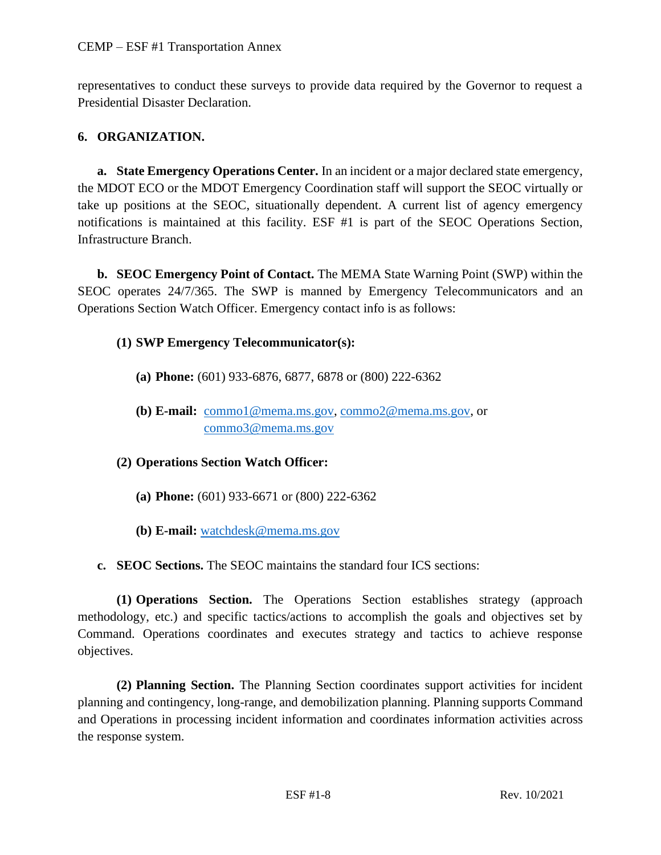representatives to conduct these surveys to provide data required by the Governor to request a Presidential Disaster Declaration.

# **6. ORGANIZATION.**

**a. State Emergency Operations Center.** In an incident or a major declared state emergency, the MDOT ECO or the MDOT Emergency Coordination staff will support the SEOC virtually or take up positions at the SEOC, situationally dependent. A current list of agency emergency notifications is maintained at this facility. ESF #1 is part of the SEOC Operations Section, Infrastructure Branch.

**b. SEOC Emergency Point of Contact.** The MEMA State Warning Point (SWP) within the SEOC operates 24/7/365. The SWP is manned by Emergency Telecommunicators and an Operations Section Watch Officer. Emergency contact info is as follows:

## **(1) SWP Emergency Telecommunicator(s):**

- **(a) Phone:** (601) 933-6876, 6877, 6878 or (800) 222-6362
- **(b) E-mail:** [commo1@mema.ms.gov,](mailto:commo1@mema.ms.gov) [commo2@mema.ms.gov,](mailto:commo2@mema.ms.gov) or [commo3@mema.ms.gov](mailto:commo3@mema.ms.gov)

**(2) Operations Section Watch Officer:**

- **(a) Phone:** (601) 933-6671 or (800) 222-6362
- **(b) E-mail:** [watchdesk@mema.ms.gov](mailto:watchdesk@mema.ms.gov)
- **c. SEOC Sections.** The SEOC maintains the standard four ICS sections:

**(1) Operations Section.** The Operations Section establishes strategy (approach methodology, etc.) and specific tactics/actions to accomplish the goals and objectives set by Command. Operations coordinates and executes strategy and tactics to achieve response objectives.

**(2) Planning Section.** The Planning Section coordinates support activities for incident planning and contingency, long-range, and demobilization planning. Planning supports Command and Operations in processing incident information and coordinates information activities across the response system.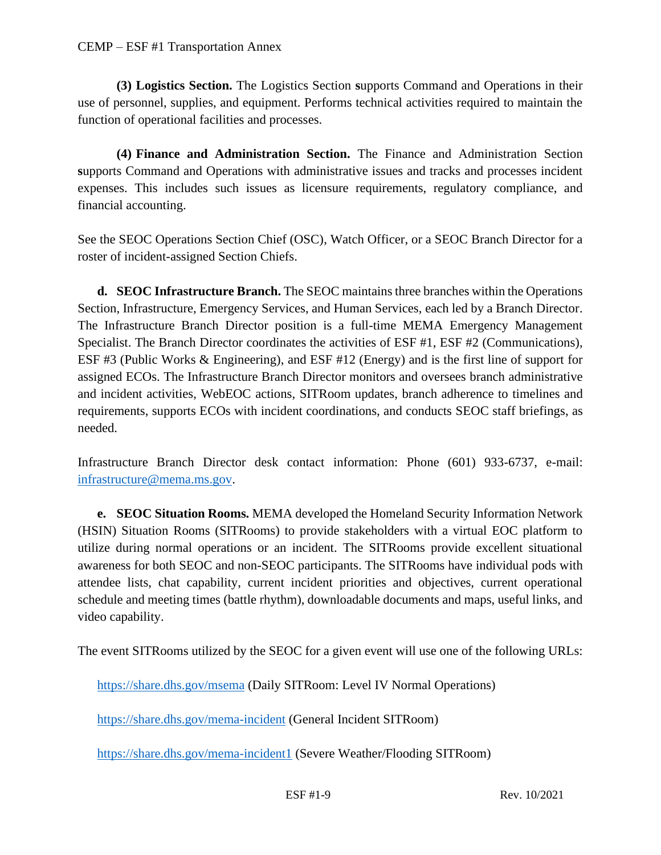**(3) Logistics Section.** The Logistics Section **s**upports Command and Operations in their use of personnel, supplies, and equipment. Performs technical activities required to maintain the function of operational facilities and processes.

**(4) Finance and Administration Section.** The Finance and Administration Section **s**upports Command and Operations with administrative issues and tracks and processes incident expenses. This includes such issues as licensure requirements, regulatory compliance, and financial accounting.

See the SEOC Operations Section Chief (OSC), Watch Officer, or a SEOC Branch Director for a roster of incident-assigned Section Chiefs.

**d. SEOC Infrastructure Branch.** The SEOC maintains three branches within the Operations Section, Infrastructure, Emergency Services, and Human Services, each led by a Branch Director. The Infrastructure Branch Director position is a full-time MEMA Emergency Management Specialist. The Branch Director coordinates the activities of ESF #1, ESF #2 (Communications), ESF #3 (Public Works & Engineering), and ESF #12 (Energy) and is the first line of support for assigned ECOs. The Infrastructure Branch Director monitors and oversees branch administrative and incident activities, WebEOC actions, SITRoom updates, branch adherence to timelines and requirements, supports ECOs with incident coordinations, and conducts SEOC staff briefings, as needed.

Infrastructure Branch Director desk contact information: Phone (601) 933-6737, e-mail: [infrastructure@mema.ms.gov.](mailto:infrastructure@mema.ms.gov)

**e. SEOC Situation Rooms.** MEMA developed the Homeland Security Information Network (HSIN) Situation Rooms (SITRooms) to provide stakeholders with a virtual EOC platform to utilize during normal operations or an incident. The SITRooms provide excellent situational awareness for both SEOC and non-SEOC participants. The SITRooms have individual pods with attendee lists, chat capability, current incident priorities and objectives, current operational schedule and meeting times (battle rhythm), downloadable documents and maps, useful links, and video capability.

The event SITRooms utilized by the SEOC for a given event will use one of the following URLs:

<https://share.dhs.gov/msema> (Daily SITRoom: Level IV Normal Operations)

<https://share.dhs.gov/mema-incident> (General Incident SITRoom)

<https://share.dhs.gov/mema-incident1> (Severe Weather/Flooding SITRoom)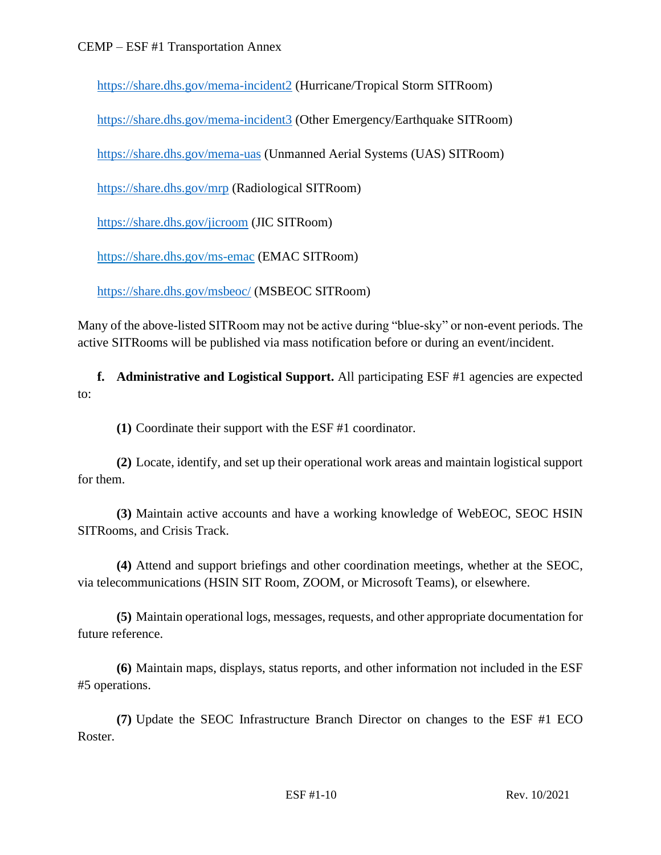<https://share.dhs.gov/mema-incident2> (Hurricane/Tropical Storm SITRoom)

<https://share.dhs.gov/mema-incident3> (Other Emergency/Earthquake SITRoom)

<https://share.dhs.gov/mema-uas> (Unmanned Aerial Systems (UAS) SITRoom)

<https://share.dhs.gov/mrp> (Radiological SITRoom)

<https://share.dhs.gov/jicroom> (JIC SITRoom)

<https://share.dhs.gov/ms-emac> (EMAC SITRoom)

<https://share.dhs.gov/msbeoc/> (MSBEOC SITRoom)

Many of the above-listed SITRoom may not be active during "blue-sky" or non-event periods. The active SITRooms will be published via mass notification before or during an event/incident.

**f. Administrative and Logistical Support.** All participating ESF #1 agencies are expected to:

**(1)** Coordinate their support with the ESF #1 coordinator.

**(2)** Locate, identify, and set up their operational work areas and maintain logistical support for them.

**(3)** Maintain active accounts and have a working knowledge of WebEOC, SEOC HSIN SITRooms, and Crisis Track.

**(4)** Attend and support briefings and other coordination meetings, whether at the SEOC, via telecommunications (HSIN SIT Room, ZOOM, or Microsoft Teams), or elsewhere.

**(5)** Maintain operational logs, messages, requests, and other appropriate documentation for future reference.

**(6)** Maintain maps, displays, status reports, and other information not included in the ESF #5 operations.

**(7)** Update the SEOC Infrastructure Branch Director on changes to the ESF #1 ECO Roster.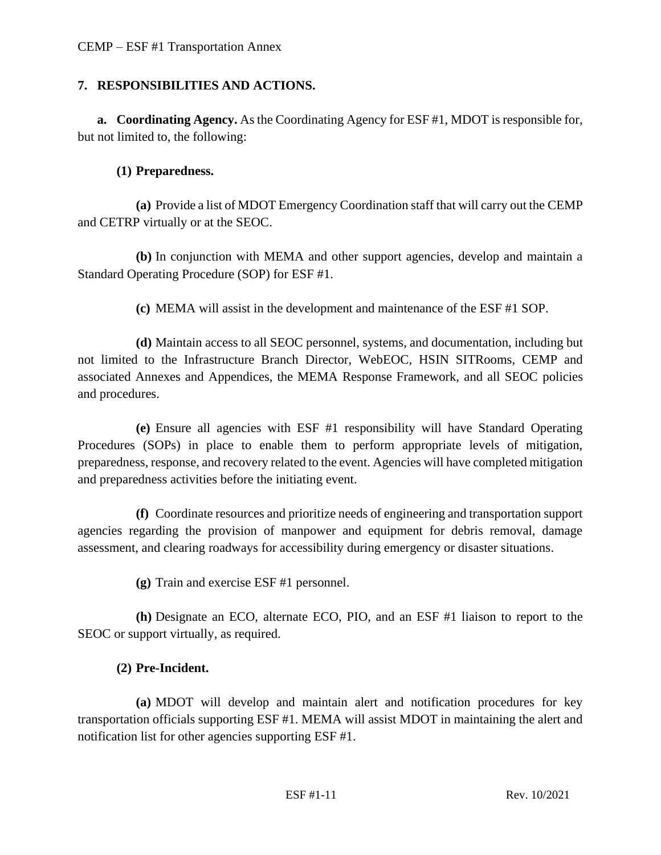### **7. RESPONSIBILITIES AND ACTIONS.**

**a. Coordinating Agency.** As the Coordinating Agency for ESF #1, MDOT is responsible for, but not limited to, the following:

### **(1) Preparedness.**

**(a)** Provide a list of MDOT Emergency Coordination staff that will carry out the CEMP and CETRP virtually or at the SEOC.

**(b)** In conjunction with MEMA and other support agencies, develop and maintain a Standard Operating Procedure (SOP) for ESF #1.

**(c)** MEMA will assist in the development and maintenance of the ESF #1 SOP.

**(d)** Maintain access to all SEOC personnel, systems, and documentation, including but not limited to the Infrastructure Branch Director, WebEOC, HSIN SITRooms, CEMP and associated Annexes and Appendices, the MEMA Response Framework, and all SEOC policies and procedures.

**(e)** Ensure all agencies with ESF #1 responsibility will have Standard Operating Procedures (SOPs) in place to enable them to perform appropriate levels of mitigation, preparedness, response, and recovery related to the event. Agencies will have completed mitigation and preparedness activities before the initiating event.

**(f)** Coordinate resources and prioritize needs of engineering and transportation support agencies regarding the provision of manpower and equipment for debris removal, damage assessment, and clearing roadways for accessibility during emergency or disaster situations.

**(g)** Train and exercise ESF #1 personnel.

**(h)** Designate an ECO, alternate ECO, PIO, and an ESF #1 liaison to report to the SEOC or support virtually, as required.

# **(2) Pre-Incident.**

**(a)** MDOT will develop and maintain alert and notification procedures for key transportation officials supporting ESF #1. MEMA will assist MDOT in maintaining the alert and notification list for other agencies supporting ESF #1.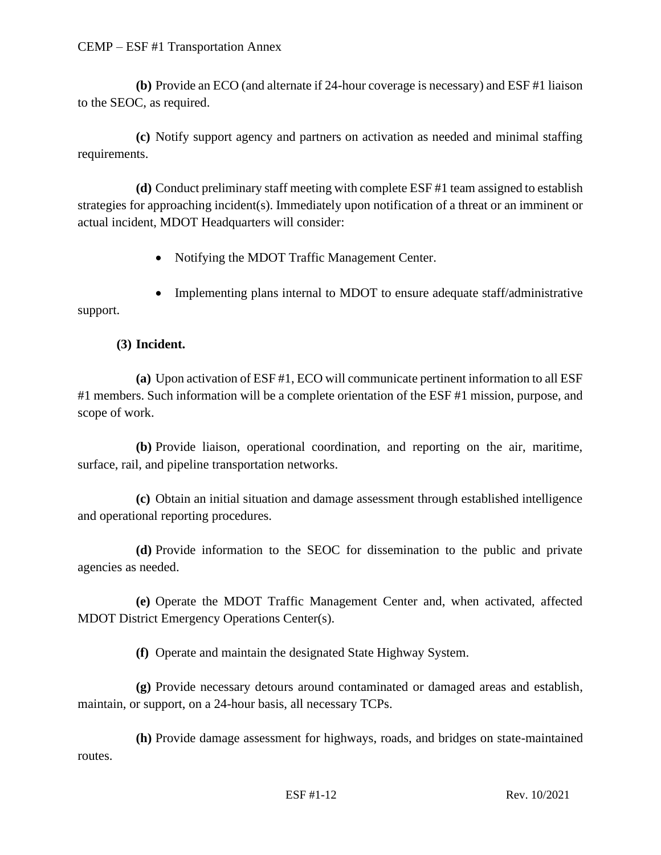**(b)** Provide an ECO (and alternate if 24-hour coverage is necessary) and ESF #1 liaison to the SEOC, as required.

**(c)** Notify support agency and partners on activation as needed and minimal staffing requirements.

**(d)** Conduct preliminary staff meeting with complete ESF #1 team assigned to establish strategies for approaching incident(s). Immediately upon notification of a threat or an imminent or actual incident, MDOT Headquarters will consider:

• Notifying the MDOT Traffic Management Center.

• Implementing plans internal to MDOT to ensure adequate staff/administrative support.

# **(3) Incident.**

**(a)** Upon activation of ESF #1, ECO will communicate pertinent information to all ESF #1 members. Such information will be a complete orientation of the ESF #1 mission, purpose, and scope of work.

**(b)** Provide liaison, operational coordination, and reporting on the air, maritime, surface, rail, and pipeline transportation networks.

**(c)** Obtain an initial situation and damage assessment through established intelligence and operational reporting procedures.

**(d)** Provide information to the SEOC for dissemination to the public and private agencies as needed.

**(e)** Operate the MDOT Traffic Management Center and, when activated, affected MDOT District Emergency Operations Center(s).

**(f)** Operate and maintain the designated State Highway System.

**(g)** Provide necessary detours around contaminated or damaged areas and establish, maintain, or support, on a 24-hour basis, all necessary TCPs.

**(h)** Provide damage assessment for highways, roads, and bridges on state-maintained routes.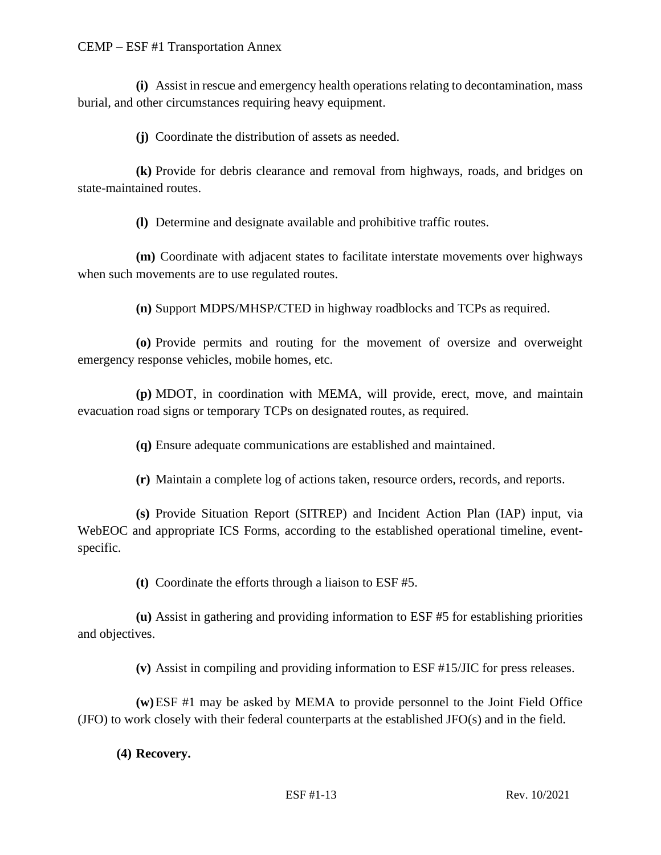**(i)** Assist in rescue and emergency health operations relating to decontamination, mass burial, and other circumstances requiring heavy equipment.

**(j)** Coordinate the distribution of assets as needed.

**(k)** Provide for debris clearance and removal from highways, roads, and bridges on state-maintained routes.

**(l)** Determine and designate available and prohibitive traffic routes.

**(m)** Coordinate with adjacent states to facilitate interstate movements over highways when such movements are to use regulated routes.

**(n)** Support MDPS/MHSP/CTED in highway roadblocks and TCPs as required.

**(o)** Provide permits and routing for the movement of oversize and overweight emergency response vehicles, mobile homes, etc.

**(p)** MDOT, in coordination with MEMA, will provide, erect, move, and maintain evacuation road signs or temporary TCPs on designated routes, as required.

**(q)** Ensure adequate communications are established and maintained.

**(r)** Maintain a complete log of actions taken, resource orders, records, and reports.

**(s)** Provide Situation Report (SITREP) and Incident Action Plan (IAP) input, via WebEOC and appropriate ICS Forms, according to the established operational timeline, eventspecific.

**(t)** Coordinate the efforts through a liaison to ESF #5.

**(u)** Assist in gathering and providing information to ESF #5 for establishing priorities and objectives.

**(v)** Assist in compiling and providing information to ESF #15/JIC for press releases.

**(w)**ESF #1 may be asked by MEMA to provide personnel to the Joint Field Office (JFO) to work closely with their federal counterparts at the established JFO(s) and in the field.

### **(4) Recovery.**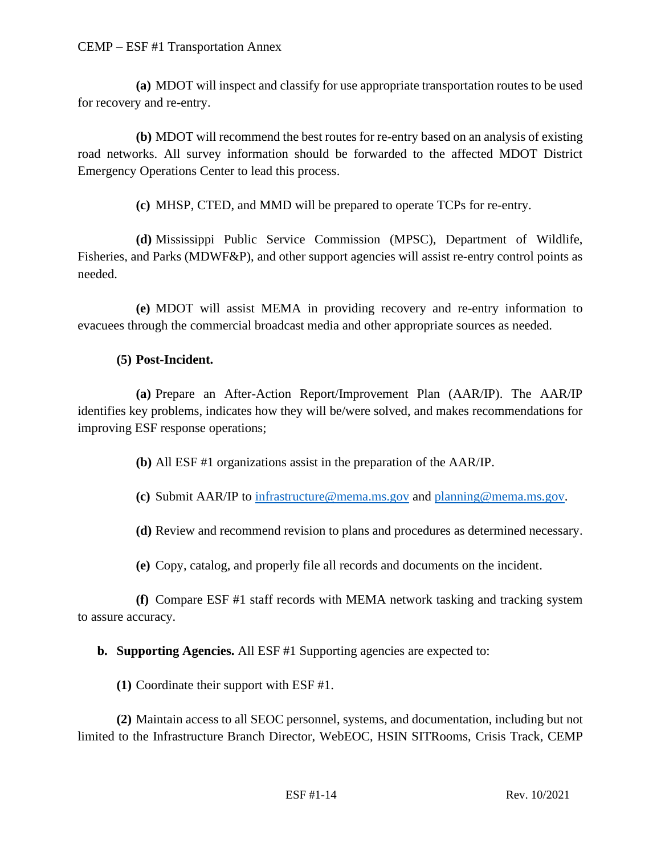**(a)** MDOT will inspect and classify for use appropriate transportation routes to be used for recovery and re-entry.

**(b)** MDOT will recommend the best routes for re-entry based on an analysis of existing road networks. All survey information should be forwarded to the affected MDOT District Emergency Operations Center to lead this process.

**(c)** MHSP, CTED, and MMD will be prepared to operate TCPs for re-entry.

**(d)** Mississippi Public Service Commission (MPSC), Department of Wildlife, Fisheries, and Parks (MDWF&P), and other support agencies will assist re-entry control points as needed.

**(e)** MDOT will assist MEMA in providing recovery and re-entry information to evacuees through the commercial broadcast media and other appropriate sources as needed.

## **(5) Post-Incident.**

**(a)** Prepare an After-Action Report/Improvement Plan (AAR/IP). The AAR/IP identifies key problems, indicates how they will be/were solved, and makes recommendations for improving ESF response operations;

**(b)** All ESF #1 organizations assist in the preparation of the AAR/IP.

**(c)** Submit AAR/IP to [infrastructure@mema.ms.gov](mailto:infrastructure@mema.ms.gov) and [planning@mema.ms.gov.](mailto:planning@mema.ms.gov)

**(d)** Review and recommend revision to plans and procedures as determined necessary.

**(e)** Copy, catalog, and properly file all records and documents on the incident.

**(f)** Compare ESF #1 staff records with MEMA network tasking and tracking system to assure accuracy.

**b. Supporting Agencies.** All ESF #1 Supporting agencies are expected to:

**(1)** Coordinate their support with ESF #1.

**(2)** Maintain access to all SEOC personnel, systems, and documentation, including but not limited to the Infrastructure Branch Director, WebEOC, HSIN SITRooms, Crisis Track, CEMP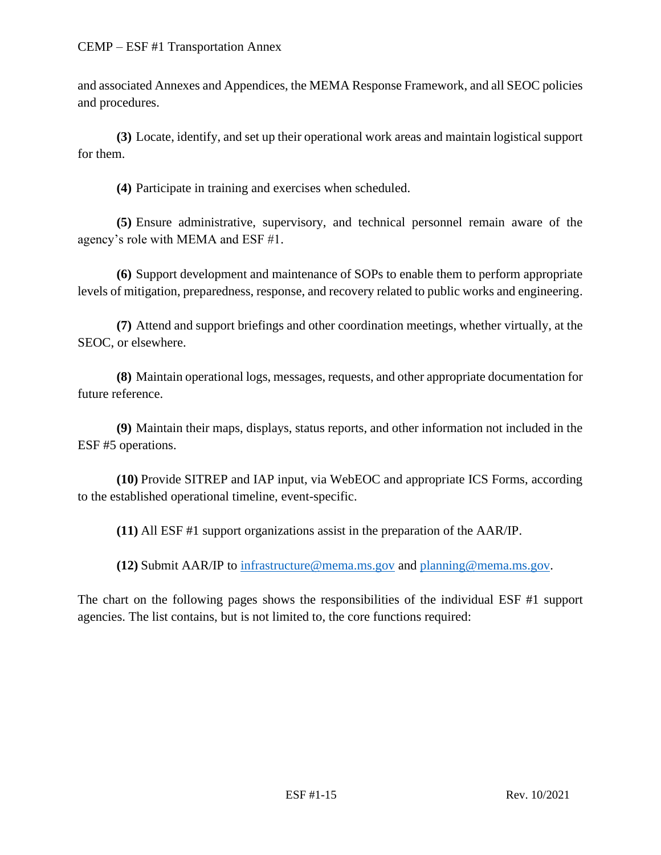and associated Annexes and Appendices, the MEMA Response Framework, and all SEOC policies and procedures.

**(3)** Locate, identify, and set up their operational work areas and maintain logistical support for them.

**(4)** Participate in training and exercises when scheduled.

**(5)** Ensure administrative, supervisory, and technical personnel remain aware of the agency's role with MEMA and ESF #1.

**(6)** Support development and maintenance of SOPs to enable them to perform appropriate levels of mitigation, preparedness, response, and recovery related to public works and engineering.

**(7)** Attend and support briefings and other coordination meetings, whether virtually, at the SEOC, or elsewhere.

**(8)** Maintain operational logs, messages, requests, and other appropriate documentation for future reference.

**(9)** Maintain their maps, displays, status reports, and other information not included in the ESF #5 operations.

**(10)** Provide SITREP and IAP input, via WebEOC and appropriate ICS Forms, according to the established operational timeline, event-specific.

**(11)** All ESF #1 support organizations assist in the preparation of the AAR/IP.

**(12)** Submit AAR/IP to [infrastructure@mema.ms.gov](mailto:infrastructure@mema.ms.gov) and [planning@mema.ms.gov.](mailto:planning@mema.ms.gov)

The chart on the following pages shows the responsibilities of the individual ESF #1 support agencies. The list contains, but is not limited to, the core functions required: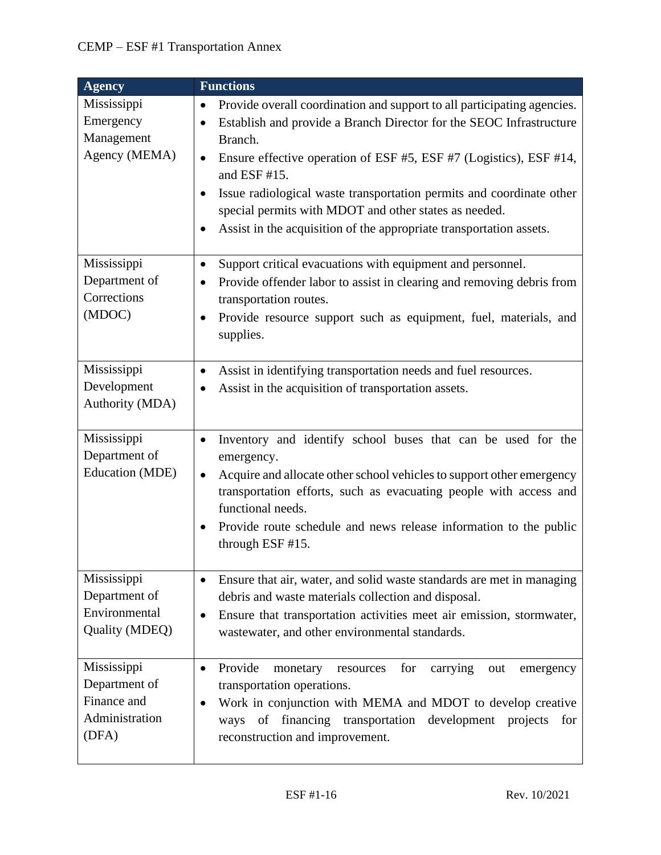| <b>Agency</b>                                                          | <b>Functions</b>                                                                                                                                                                                                                                                                                                                                                                                                                                                                                    |
|------------------------------------------------------------------------|-----------------------------------------------------------------------------------------------------------------------------------------------------------------------------------------------------------------------------------------------------------------------------------------------------------------------------------------------------------------------------------------------------------------------------------------------------------------------------------------------------|
| Mississippi<br>Emergency<br>Management<br>Agency (MEMA)                | Provide overall coordination and support to all participating agencies.<br>٠<br>Establish and provide a Branch Director for the SEOC Infrastructure<br>$\bullet$<br>Branch.<br>Ensure effective operation of ESF #5, ESF #7 (Logistics), ESF #14,<br>$\bullet$<br>and ESF #15.<br>Issue radiological waste transportation permits and coordinate other<br>$\bullet$<br>special permits with MDOT and other states as needed.<br>Assist in the acquisition of the appropriate transportation assets. |
| Mississippi<br>Department of<br>Corrections<br>(MDOC)                  | Support critical evacuations with equipment and personnel.<br>٠<br>Provide offender labor to assist in clearing and removing debris from<br>$\bullet$<br>transportation routes.<br>Provide resource support such as equipment, fuel, materials, and<br>$\bullet$<br>supplies.                                                                                                                                                                                                                       |
| Mississippi<br>Development<br>Authority (MDA)                          | Assist in identifying transportation needs and fuel resources.<br>Assist in the acquisition of transportation assets.                                                                                                                                                                                                                                                                                                                                                                               |
| Mississippi<br>Department of<br>Education (MDE)                        | Inventory and identify school buses that can be used for the<br>٠<br>emergency.<br>Acquire and allocate other school vehicles to support other emergency<br>$\bullet$<br>transportation efforts, such as evacuating people with access and<br>functional needs.<br>Provide route schedule and news release information to the public<br>through ESF #15.                                                                                                                                            |
| Mississippi<br>Department of<br>Environmental<br>Quality (MDEQ)        | Ensure that air, water, and solid waste standards are met in managing<br>$\bullet$<br>debris and waste materials collection and disposal.<br>Ensure that transportation activities meet air emission, stormwater,<br>$\bullet$<br>wastewater, and other environmental standards.                                                                                                                                                                                                                    |
| Mississippi<br>Department of<br>Finance and<br>Administration<br>(DFA) | Provide<br>carrying<br>for<br>monetary<br>resources<br>out<br>emergency<br>$\bullet$<br>transportation operations.<br>Work in conjunction with MEMA and MDOT to develop creative<br>$\bullet$<br>financing<br>transportation<br>development<br>οf<br>projects<br>for<br>ways<br>reconstruction and improvement.                                                                                                                                                                                     |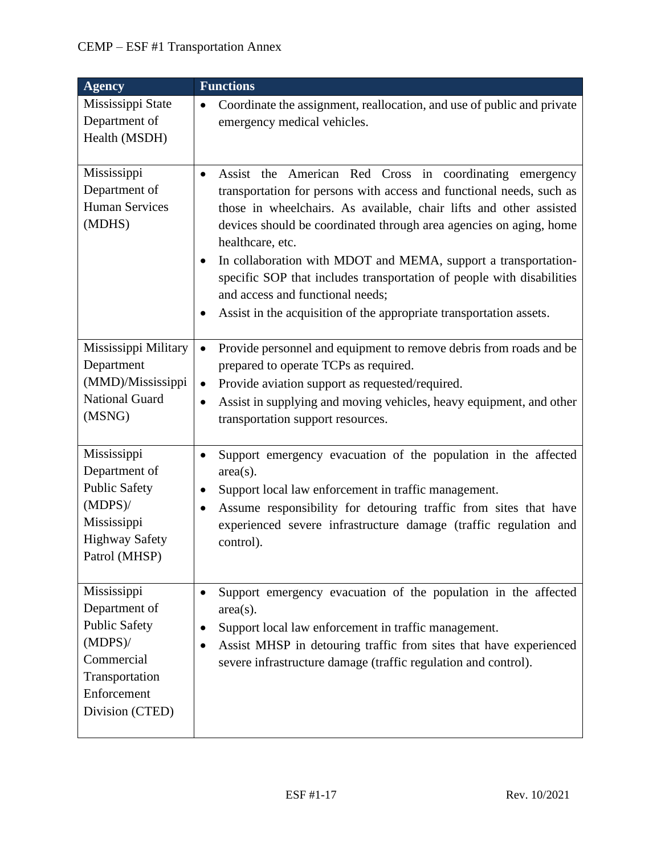| <b>Agency</b>                                                                                                                 | <b>Functions</b>                                                                                                                                                                                                                                                                                                                                                                                                                                                                                                                                                                     |
|-------------------------------------------------------------------------------------------------------------------------------|--------------------------------------------------------------------------------------------------------------------------------------------------------------------------------------------------------------------------------------------------------------------------------------------------------------------------------------------------------------------------------------------------------------------------------------------------------------------------------------------------------------------------------------------------------------------------------------|
| Mississippi State<br>Department of<br>Health (MSDH)                                                                           | Coordinate the assignment, reallocation, and use of public and private<br>$\bullet$<br>emergency medical vehicles.                                                                                                                                                                                                                                                                                                                                                                                                                                                                   |
| Mississippi<br>Department of<br><b>Human Services</b><br>(MDHS)                                                               | Assist the American Red Cross in coordinating emergency<br>$\bullet$<br>transportation for persons with access and functional needs, such as<br>those in wheelchairs. As available, chair lifts and other assisted<br>devices should be coordinated through area agencies on aging, home<br>healthcare, etc.<br>In collaboration with MDOT and MEMA, support a transportation-<br>$\bullet$<br>specific SOP that includes transportation of people with disabilities<br>and access and functional needs;<br>Assist in the acquisition of the appropriate transportation assets.<br>٠ |
| Mississippi Military<br>Department<br>(MMD)/Mississippi<br><b>National Guard</b><br>(MSNG)                                    | Provide personnel and equipment to remove debris from roads and be<br>$\bullet$<br>prepared to operate TCPs as required.<br>Provide aviation support as requested/required.<br>$\bullet$<br>Assist in supplying and moving vehicles, heavy equipment, and other<br>$\bullet$<br>transportation support resources.                                                                                                                                                                                                                                                                    |
| Mississippi<br>Department of<br><b>Public Safety</b><br>$(MDPS)$ /<br>Mississippi<br><b>Highway Safety</b><br>Patrol (MHSP)   | Support emergency evacuation of the population in the affected<br>$\bullet$<br>$area(s)$ .<br>Support local law enforcement in traffic management.<br>$\bullet$<br>Assume responsibility for detouring traffic from sites that have<br>٠<br>experienced severe infrastructure damage (traffic regulation and<br>control).                                                                                                                                                                                                                                                            |
| Mississippi<br>Department of<br>Public Safety<br>$(MDPS)$ /<br>Commercial<br>Transportation<br>Enforcement<br>Division (CTED) | Support emergency evacuation of the population in the affected<br>$\bullet$<br>$area(s)$ .<br>Support local law enforcement in traffic management.<br>Assist MHSP in detouring traffic from sites that have experienced<br>$\bullet$<br>severe infrastructure damage (traffic regulation and control).                                                                                                                                                                                                                                                                               |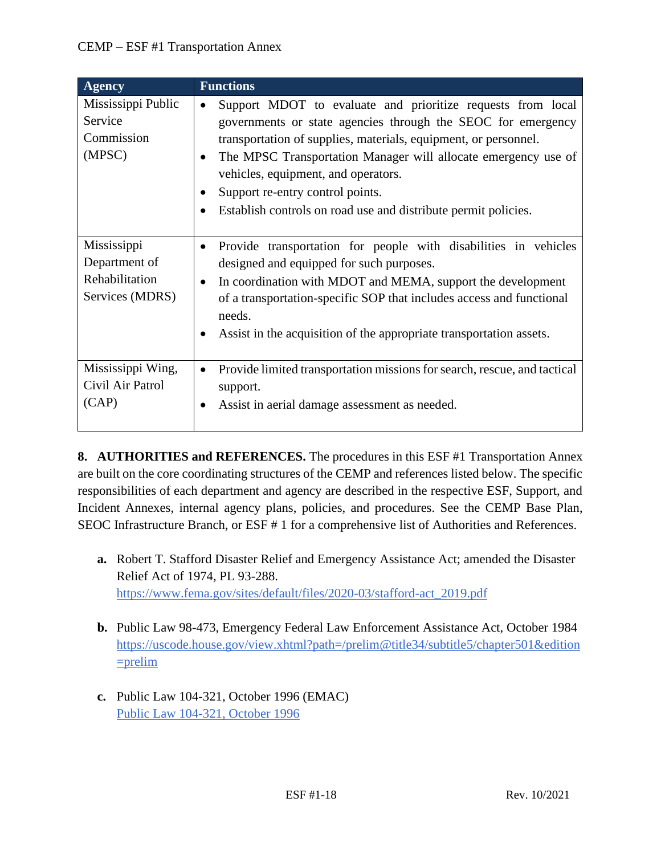| <b>Agency</b>                                                     | <b>Functions</b>                                                                                                                                                                                                                                                                                                                                                                                                                        |
|-------------------------------------------------------------------|-----------------------------------------------------------------------------------------------------------------------------------------------------------------------------------------------------------------------------------------------------------------------------------------------------------------------------------------------------------------------------------------------------------------------------------------|
| Mississippi Public<br>Service<br>Commission<br>(MPSC)             | Support MDOT to evaluate and prioritize requests from local<br>$\bullet$<br>governments or state agencies through the SEOC for emergency<br>transportation of supplies, materials, equipment, or personnel.<br>The MPSC Transportation Manager will allocate emergency use of<br>$\bullet$<br>vehicles, equipment, and operators.<br>Support re-entry control points.<br>Establish controls on road use and distribute permit policies. |
| Mississippi<br>Department of<br>Rehabilitation<br>Services (MDRS) | Provide transportation for people with disabilities in vehicles<br>$\bullet$<br>designed and equipped for such purposes.<br>In coordination with MDOT and MEMA, support the development<br>$\bullet$<br>of a transportation-specific SOP that includes access and functional<br>needs.<br>Assist in the acquisition of the appropriate transportation assets.                                                                           |
| Mississippi Wing,<br>Civil Air Patrol<br>(CAP)                    | Provide limited transportation missions for search, rescue, and tactical<br>$\bullet$<br>support.<br>Assist in aerial damage assessment as needed.                                                                                                                                                                                                                                                                                      |

**8. AUTHORITIES and REFERENCES.** The procedures in this ESF #1 Transportation Annex are built on the core coordinating structures of the CEMP and references listed below. The specific responsibilities of each department and agency are described in the respective ESF, Support, and Incident Annexes, internal agency plans, policies, and procedures. See the CEMP Base Plan, SEOC Infrastructure Branch, or ESF # 1 for a comprehensive list of Authorities and References.

- **a.** Robert T. Stafford Disaster Relief and Emergency Assistance Act; amended the Disaster Relief Act of 1974, PL 93-288. [https://www.fema.gov/sites/default/files/2020-03/stafford-act\\_2019.pdf](https://www.fema.gov/sites/default/files/2020-03/stafford-act_2019.pdf)
- **b.** Public Law 98-473, Emergency Federal Law Enforcement Assistance Act, October 1984 [https://uscode.house.gov/view.xhtml?path=/prelim@title34/subtitle5/chapter501&edition](https://uscode.house.gov/view.xhtml?path=/prelim@title34/subtitle5/chapter501&edition=prelim)  $=$ prelim
- **c.** Public Law 104-321, October 1996 (EMAC) [Public Law 104-321, October 1996](https://www.congress.gov/104/plaws/publ321/PLAW-104publ321.pdf)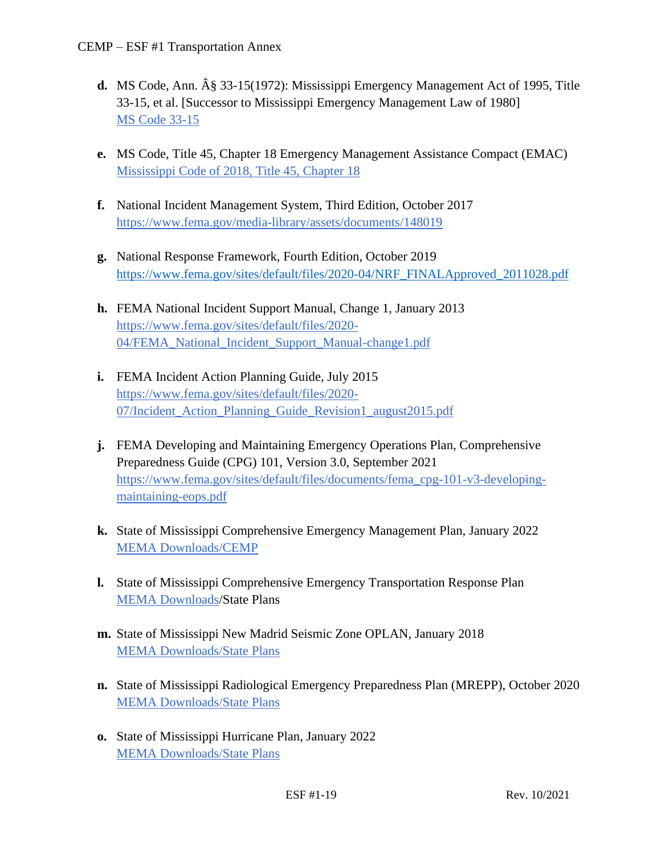- **d.** MS Code, Ann. § 33-15(1972): Mississippi Emergency Management Act of 1995, Title 33-15, et al. [Successor to Mississippi Emergency Management Law of 1980] [MS Code 33-15](https://law.justia.com/codes/mississippi/2010/title-33/15/)
- **e.** MS Code, Title 45, Chapter 18 Emergency Management Assistance Compact (EMAC) [Mississippi Code of 2018, Title 45, Chapter 18](https://law.justia.com/codes/mississippi/2018/title-45/chapter-18/)
- **f.** National Incident Management System, Third Edition, October 2017 <https://www.fema.gov/media-library/assets/documents/148019>
- **g.** National Response Framework, Fourth Edition, October 2019 [https://www.fema.gov/sites/default/files/2020-04/NRF\\_FINALApproved\\_2011028.pdf](https://www.fema.gov/sites/default/files/2020-04/NRF_FINALApproved_2011028.pdf)
- **h.** FEMA National Incident Support Manual, Change 1, January 2013 [https://www.fema.gov/sites/default/files/2020-](https://www.fema.gov/sites/default/files/2020-04/FEMA_National_Incident_Support_Manual-change1.pdf) [04/FEMA\\_National\\_Incident\\_Support\\_Manual-change1.pdf](https://www.fema.gov/sites/default/files/2020-04/FEMA_National_Incident_Support_Manual-change1.pdf)
- **i.** FEMA Incident Action Planning Guide, July 2015 [https://www.fema.gov/sites/default/files/2020-](https://www.fema.gov/sites/default/files/2020-07/Incident_Action_Planning_Guide_Revision1_august2015.pdf) 07/Incident Action Planning Guide Revision1 august2015.pdf
- **j.** FEMA Developing and Maintaining Emergency Operations Plan, Comprehensive Preparedness Guide (CPG) 101, Version 3.0, September 2021 [https://www.fema.gov/sites/default/files/documents/fema\\_cpg-101-v3-developing](https://www.fema.gov/sites/default/files/documents/fema_cpg-101-v3-developing-maintaining-eops.pdf)[maintaining-eops.pdf](https://www.fema.gov/sites/default/files/documents/fema_cpg-101-v3-developing-maintaining-eops.pdf)
- **k.** State of Mississippi Comprehensive Emergency Management Plan, January 2022 [MEMA Downloads/CEMP](https://msmema.sharepoint.com/Shared%20Documents/Forms/AllItems.aspx?id=%2FShared%20Documents%2FMEMA%20Downloads%2FComprehensive%20Emergency%20Management%20Plan%20%2D%202022&viewid=8f98db8b%2D85b5%2D471a%2Db3cc%2D6cc4ee9e7407)
- **l.** State of Mississippi Comprehensive Emergency Transportation Response Plan [MEMA Downloads/](https://msmema.sharepoint.com/Shared%20Documents/Forms/AllItems.aspx?id=%2FShared%20Documents%2FMEMA%20Downloads%2FComprehensive%20Emergency%20Management%20Plan%20%2D%202022&viewid=8f98db8b%2D85b5%2D471a%2Db3cc%2D6cc4ee9e7407)State Plans
- **m.** State of Mississippi New Madrid Seismic Zone OPLAN, January 2018 [MEMA Downloads/State Plans](https://msmema.sharepoint.com/Shared%20Documents/Forms/AllItems.aspx?viewid=8f98db8b%2D85b5%2D471a%2Db3cc%2D6cc4ee9e7407&id=%2FShared%20Documents%2FMEMA%20Downloads%2FState%20Plans)
- **n.** State of Mississippi Radiological Emergency Preparedness Plan (MREPP), October 2020 [MEMA Downloads/State Plans](https://msmema.sharepoint.com/Shared%20Documents/Forms/AllItems.aspx?viewid=8f98db8b%2D85b5%2D471a%2Db3cc%2D6cc4ee9e7407&id=%2FShared%20Documents%2FMEMA%20Downloads%2FState%20Plans)
- **o.** State of Mississippi Hurricane Plan, January 2022 [MEMA Downloads/State Plans](https://msmema.sharepoint.com/Shared%20Documents/Forms/AllItems.aspx?viewid=8f98db8b%2D85b5%2D471a%2Db3cc%2D6cc4ee9e7407&id=%2FShared%20Documents%2FMEMA%20Downloads%2FState%20Plans)